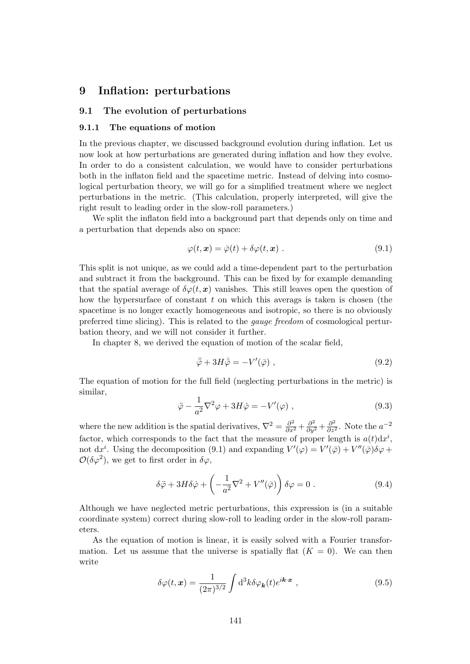# 9 Inflation: perturbations

# 9.1 The evolution of perturbations

## 9.1.1 The equations of motion

In the previous chapter, we discussed background evolution during inflation. Let us now look at how perturbations are generated during inflation and how they evolve. In order to do a consistent calculation, we would have to consider perturbations both in the inflaton field and the spacetime metric. Instead of delving into cosmological perturbation theory, we will go for a simplified treatment where we neglect perturbations in the metric. (This calculation, properly interpreted, will give the right result to leading order in the slow-roll parameters.)

We split the inflaton field into a background part that depends only on time and a perturbation that depends also on space:

$$
\varphi(t, \mathbf{x}) = \bar{\varphi}(t) + \delta\varphi(t, \mathbf{x}) . \qquad (9.1)
$$

This split is not unique, as we could add a time-dependent part to the perturbation and subtract it from the background. This can be fixed by for example demanding that the spatial average of  $\delta\varphi(t, x)$  vanishes. This still leaves open the question of how the hypersurface of constant  $t$  on which this averags is taken is chosen (the spacetime is no longer exactly homogeneous and isotropic, so there is no obviously preferred time slicing). This is related to the gauge freedom of cosmological perturbation theory, and we will not consider it further.

In chapter 8, we derived the equation of motion of the scalar field.

$$
\ddot{\overline{\varphi}} + 3H\dot{\overline{\varphi}} = -V'(\overline{\varphi}) , \qquad (9.2)
$$

The equation of motion for the full field (neglecting perturbations in the metric) is similar,

$$
\ddot{\varphi} - \frac{1}{a^2} \nabla^2 \varphi + 3H \dot{\varphi} = -V'(\varphi) , \qquad (9.3)
$$

where the new addition is the spatial derivatives,  $\nabla^2 = \frac{\partial^2}{\partial x^2} + \frac{\partial^2}{\partial y^2} + \frac{\partial^2}{\partial z^2}$ . Note the  $a^{-2}$ factor, which corresponds to the fact that the measure of proper length is  $a(t)dx^i$ , not dx<sup>i</sup>. Using the decomposition (9.1) and expanding  $V'(\varphi) = V'(\bar{\varphi}) + V''(\bar{\varphi})\delta\varphi +$  $\mathcal{O}(\delta\varphi^2)$ , we get to first order in  $\delta\varphi$ ,

$$
\delta \ddot{\varphi} + 3H \delta \dot{\varphi} + \left( -\frac{1}{a^2} \nabla^2 + V''(\bar{\varphi}) \right) \delta \varphi = 0 . \qquad (9.4)
$$

Although we have neglected metric perturbations, this expression is (in a suitable coordinate system) correct during slow-roll to leading order in the slow-roll parameters.

As the equation of motion is linear, it is easily solved with a Fourier transformation. Let us assume that the universe is spatially flat  $(K = 0)$ . We can then write

$$
\delta\varphi(t,\mathbf{x}) = \frac{1}{(2\pi)^{3/2}} \int d^3k \delta\varphi_{\mathbf{k}}(t) e^{i\mathbf{k}\cdot\mathbf{x}} \;, \tag{9.5}
$$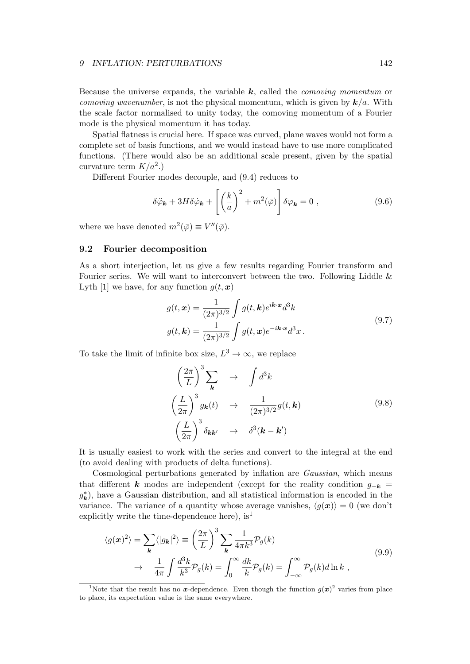Because the universe expands, the variable  $k$ , called the *comoving momentum* or *comoving wavenumber*, is not the physical momentum, which is given by  $k/a$ . With the scale factor normalised to unity today, the comoving momentum of a Fourier mode is the physical momentum it has today.

Spatial flatness is crucial here. If space was curved, plane waves would not form a complete set of basis functions, and we would instead have to use more complicated functions. (There would also be an additional scale present, given by the spatial curvature term  $K/a^2$ .)

Different Fourier modes decouple, and (9.4) reduces to

$$
\delta \ddot{\varphi}_{\mathbf{k}} + 3H \delta \dot{\varphi}_{\mathbf{k}} + \left[ \left( \frac{k}{a} \right)^2 + m^2(\bar{\varphi}) \right] \delta \varphi_{\mathbf{k}} = 0 , \qquad (9.6)
$$

where we have denoted  $m^2(\bar{\varphi}) \equiv V''(\bar{\varphi})$ .

# 9.2 Fourier decomposition

As a short interjection, let us give a few results regarding Fourier transform and Fourier series. We will want to interconvert between the two. Following Liddle & Lyth [1] we have, for any function  $q(t, x)$ 

$$
g(t, \mathbf{x}) = \frac{1}{(2\pi)^{3/2}} \int g(t, \mathbf{k}) e^{i\mathbf{k} \cdot \mathbf{x}} d^3k
$$
  

$$
g(t, \mathbf{k}) = \frac{1}{(2\pi)^{3/2}} \int g(t, \mathbf{x}) e^{-i\mathbf{k} \cdot \mathbf{x}} d^3x.
$$
 (9.7)

To take the limit of infinite box size,  $L^3 \to \infty$ , we replace

$$
\left(\frac{2\pi}{L}\right)^3 \sum_{\mathbf{k}} \rightarrow \int d^3k
$$
\n
$$
\left(\frac{L}{2\pi}\right)^3 g_{\mathbf{k}}(t) \rightarrow \frac{1}{(2\pi)^{3/2}} g(t, \mathbf{k})
$$
\n
$$
\left(\frac{L}{2\pi}\right)^3 \delta_{\mathbf{k}\mathbf{k'}} \rightarrow \delta^3(\mathbf{k} - \mathbf{k'})
$$
\n(9.8)

It is usually easiest to work with the series and convert to the integral at the end (to avoid dealing with products of delta functions).

Cosmological perturbations generated by inflation are Gaussian, which means that different k modes are independent (except for the reality condition  $g_{-k}$  =  $(g_k^*),$  have a Gaussian distribution, and all statistical information is encoded in the variance. The variance of a quantity whose average vanishes,  $\langle q(x)\rangle = 0$  (we don't explicitly write the time-dependence here),  $is<sup>1</sup>$ 

$$
\langle g(x)^2 \rangle = \sum_{\mathbf{k}} \langle |g_{\mathbf{k}}|^2 \rangle \equiv \left(\frac{2\pi}{L}\right)^3 \sum_{\mathbf{k}} \frac{1}{4\pi k^3} \mathcal{P}_g(k)
$$
  

$$
\rightarrow \frac{1}{4\pi} \int \frac{d^3 k}{k^3} \mathcal{P}_g(k) = \int_0^\infty \frac{dk}{k} \mathcal{P}_g(k) = \int_{-\infty}^\infty \mathcal{P}_g(k) d\ln k,
$$
 (9.9)

<sup>&</sup>lt;sup>1</sup>Note that the result has no x-dependence. Even though the function  $g(x)^2$  varies from place to place, its expectation value is the same everywhere.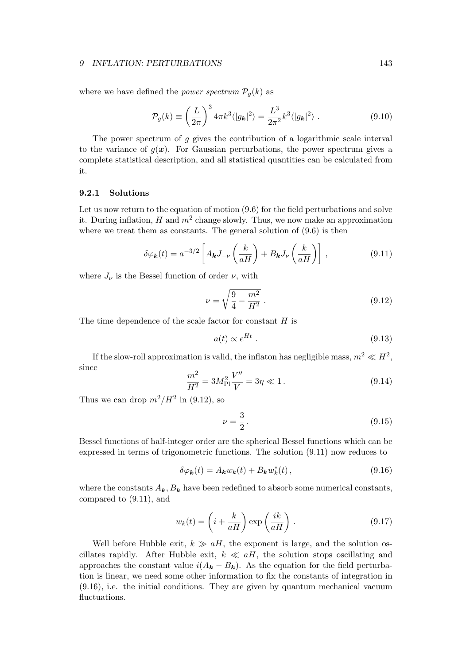where we have defined the *power spectrum*  $P_q(k)$  as

$$
\mathcal{P}_g(k) \equiv \left(\frac{L}{2\pi}\right)^3 4\pi k^3 \langle |g_{\mathbf{k}}|^2 \rangle = \frac{L^3}{2\pi^2} k^3 \langle |g_{\mathbf{k}}|^2 \rangle . \tag{9.10}
$$

The power spectrum of q gives the contribution of a logarithmic scale interval to the variance of  $g(x)$ . For Gaussian perturbations, the power spectrum gives a complete statistical description, and all statistical quantities can be calculated from it.

# 9.2.1 Solutions

Let us now return to the equation of motion  $(9.6)$  for the field perturbations and solve it. During inflation, H and  $m^2$  change slowly. Thus, we now make an approximation where we treat them as constants. The general solution of  $(9.6)$  is then

$$
\delta \varphi_{\mathbf{k}}(t) = a^{-3/2} \left[ A_{\mathbf{k}} J_{-\nu} \left( \frac{k}{aH} \right) + B_{\mathbf{k}} J_{\nu} \left( \frac{k}{aH} \right) \right], \tag{9.11}
$$

where  $J_{\nu}$  is the Bessel function of order  $\nu$ , with

$$
\nu = \sqrt{\frac{9}{4} - \frac{m^2}{H^2}} \,. \tag{9.12}
$$

The time dependence of the scale factor for constant  $H$  is

$$
a(t) \propto e^{Ht} \tag{9.13}
$$

If the slow-roll approximation is valid, the inflaton has negligible mass,  $m^2 \ll H^2$ , since

$$
\frac{m^2}{H^2} = 3M_{\rm Pl}^2 \frac{V''}{V} = 3\eta \ll 1.
$$
\n(9.14)

Thus we can drop  $m^2/H^2$  in (9.12), so

$$
\nu = \frac{3}{2} \,. \tag{9.15}
$$

Bessel functions of half-integer order are the spherical Bessel functions which can be expressed in terms of trigonometric functions. The solution (9.11) now reduces to

$$
\delta\varphi_{\mathbf{k}}(t) = A_{\mathbf{k}}w_{k}(t) + B_{\mathbf{k}}w_{k}^{*}(t), \qquad (9.16)
$$

where the constants  $A_k, B_k$  have been redefined to absorb some numerical constants, compared to (9.11), and

$$
w_k(t) = \left(i + \frac{k}{aH}\right) \exp\left(\frac{ik}{aH}\right). \tag{9.17}
$$

Well before Hubble exit,  $k \gg aH$ , the exponent is large, and the solution oscillates rapidly. After Hubble exit,  $k \ll aH$ , the solution stops oscillating and approaches the constant value  $i(A_k - B_k)$ . As the equation for the field perturbation is linear, we need some other information to fix the constants of integration in (9.16), i.e. the initial conditions. They are given by quantum mechanical vacuum fluctuations.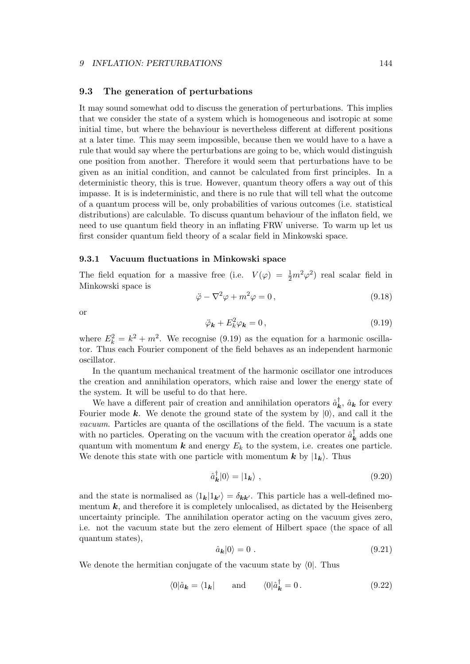## 9.3 The generation of perturbations

It may sound somewhat odd to discuss the generation of perturbations. This implies that we consider the state of a system which is homogeneous and isotropic at some initial time, but where the behaviour is nevertheless different at different positions at a later time. This may seem impossible, because then we would have to a have a rule that would say where the perturbations are going to be, which would distinguish one position from another. Therefore it would seem that perturbations have to be given as an initial condition, and cannot be calculated from first principles. In a deterministic theory, this is true. However, quantum theory offers a way out of this impasse. It is is indeterministic, and there is no rule that will tell what the outcome of a quantum process will be, only probabilities of various outcomes (i.e. statistical distributions) are calculable. To discuss quantum behaviour of the inflaton field, we need to use quantum field theory in an inflating FRW universe. To warm up let us first consider quantum field theory of a scalar field in Minkowski space.

# 9.3.1 Vacuum fluctuations in Minkowski space

The field equation for a massive free (i.e.  $V(\varphi) = \frac{1}{2}m^2\varphi^2$ ) real scalar field in Minkowski space is

$$
\ddot{\varphi} - \nabla^2 \varphi + m^2 \varphi = 0, \qquad (9.18)
$$

or

$$
\ddot{\varphi}_{\mathbf{k}} + E_k^2 \varphi_{\mathbf{k}} = 0 \,, \tag{9.19}
$$

where  $E_k^2 = k^2 + m^2$ . We recognise (9.19) as the equation for a harmonic oscillator. Thus each Fourier component of the field behaves as an independent harmonic oscillator.

In the quantum mechanical treatment of the harmonic oscillator one introduces the creation and annihilation operators, which raise and lower the energy state of the system. It will be useful to do that here.

We have a different pair of creation and annihilation operators  $\hat{a}_{\bm{l}}^{\dagger}$  $\hat{k}$ ,  $\hat{a}_{\boldsymbol{k}}$  for every Fourier mode k. We denote the ground state of the system by  $|0\rangle$ , and call it the vacuum. Particles are quanta of the oscillations of the field. The vacuum is a state with no particles. Operating on the vacuum with the creation operator  $\hat{a}_{\bm{k}}^{\dagger}$  $\boldsymbol{k}^{\!\top}_{\boldsymbol{k}}$  adds one quantum with momentum  $k$  and energy  $E_k$  to the system, i.e. creates one particle. We denote this state with one particle with momentum  $k$  by  $|1_k\rangle$ . Thus

$$
\hat{a}_{\mathbf{k}}^{\dagger}|0\rangle = |1_{\mathbf{k}}\rangle \tag{9.20}
$$

and the state is normalised as  $\langle 1_k|1_{k'}\rangle = \delta_{kk'}$ . This particle has a well-defined momentum  $k$ , and therefore it is completely unlocalised, as dictated by the Heisenberg uncertainty principle. The annihilation operator acting on the vacuum gives zero, i.e. not the vacuum state but the zero element of Hilbert space (the space of all quantum states),

$$
\hat{a}_{\mathbf{k}}|0\rangle = 0. \tag{9.21}
$$

We denote the hermitian conjugate of the vacuum state by  $\langle 0|$ . Thus

$$
\langle 0|\hat{a}_{\mathbf{k}} = \langle 1_{\mathbf{k}}| \quad \text{and} \quad \langle 0|\hat{a}_{\mathbf{k}}^{\dagger} = 0. \tag{9.22}
$$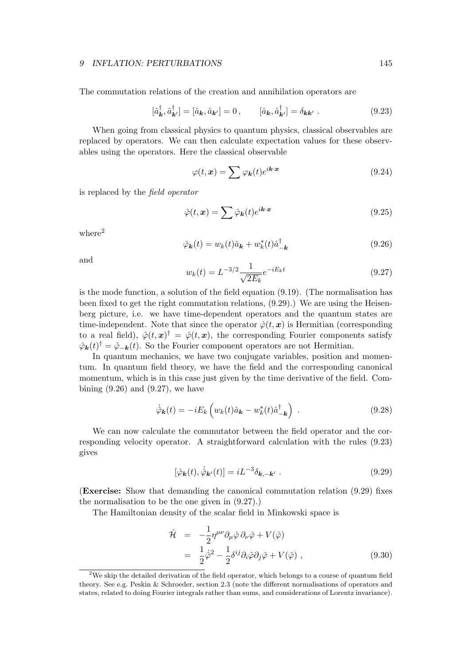The commutation relations of the creation and annihilation operators are

$$
[\hat{a}_{\mathbf{k}}^{\dagger}, \hat{a}_{\mathbf{k'}}^{\dagger}] = [\hat{a}_{\mathbf{k}}, \hat{a}_{\mathbf{k'}}] = 0, \qquad [\hat{a}_{\mathbf{k}}, \hat{a}_{\mathbf{k'}}^{\dagger}] = \delta_{\mathbf{k}\mathbf{k'}} . \tag{9.23}
$$

When going from classical physics to quantum physics, classical observables are replaced by operators. We can then calculate expectation values for these observables using the operators. Here the classical observable

$$
\varphi(t, \mathbf{x}) = \sum \varphi_{\mathbf{k}}(t) e^{i\mathbf{k} \cdot \mathbf{x}} \tag{9.24}
$$

is replaced by the field operator

$$
\hat{\varphi}(t,\mathbf{x}) = \sum \hat{\varphi}_{\mathbf{k}}(t)e^{i\mathbf{k}\cdot\mathbf{x}} \tag{9.25}
$$

where<sup>2</sup>

$$
\hat{\varphi}_{\mathbf{k}}(t) = w_k(t)\hat{a}_{\mathbf{k}} + w_k^*(t)\hat{a}_{-\mathbf{k}}^\dagger \tag{9.26}
$$

and

$$
w_k(t) = L^{-3/2} \frac{1}{\sqrt{2E_k}} e^{-iE_k t}
$$
\n(9.27)

is the mode function, a solution of the field equation (9.19). (The normalisation has been fixed to get the right commutation relations, (9.29).) We are using the Heisenberg picture, i.e. we have time-dependent operators and the quantum states are time-independent. Note that since the operator  $\hat{\varphi}(t, x)$  is Hermitian (corresponding to a real field),  $\hat{\varphi}(t,\mathbf{x})^{\dagger} = \hat{\varphi}(t,\mathbf{x})$ , the corresponding Fourier components satisfy  $\hat{\varphi}_{\bf k}(t)^{\dagger} = \hat{\varphi}_{-\bf k}(t)$ . So the Fourier component operators are not Hermitian.

In quantum mechanics, we have two conjugate variables, position and momentum. In quantum field theory, we have the field and the corresponding canonical momentum, which is in this case just given by the time derivative of the field. Combining  $(9.26)$  and  $(9.27)$ , we have

$$
\dot{\hat{\varphi}}_{\mathbf{k}}(t) = -iE_k \left( w_k(t)\hat{a}_{\mathbf{k}} - w_k^*(t)\hat{a}_{-\mathbf{k}}^\dagger \right) \tag{9.28}
$$

We can now calculate the commutator between the field operator and the corresponding velocity operator. A straightforward calculation with the rules (9.23) gives

$$
[\hat{\varphi}_{\mathbf{k}}(t), \dot{\hat{\varphi}}_{\mathbf{k}'}(t)] = i L^{-3} \delta_{\mathbf{k}, -\mathbf{k}'} . \tag{9.29}
$$

(Exercise: Show that demanding the canonical commutation relation (9.29) fixes the normalisation to be the one given in (9.27).)

The Hamiltonian density of the scalar field in Minkowski space is

$$
\hat{\mathcal{H}} = -\frac{1}{2} \eta^{\mu\nu} \partial_{\mu} \hat{\varphi} \, \partial_{\nu} \hat{\varphi} + V(\hat{\varphi}) \n= \frac{1}{2} \dot{\hat{\varphi}}^2 - \frac{1}{2} \delta^{ij} \partial_i \hat{\varphi} \partial_j \hat{\varphi} + V(\hat{\varphi}) ,
$$
\n(9.30)

<sup>&</sup>lt;sup>2</sup>We skip the detailed derivation of the field operator, which belongs to a course of quantum field theory. See e.g. Peskin & Schroeder, section 2.3 (note the different normalisations of operators and states, related to doing Fourier integrals rather than sums, and considerations of Lorentz invariance).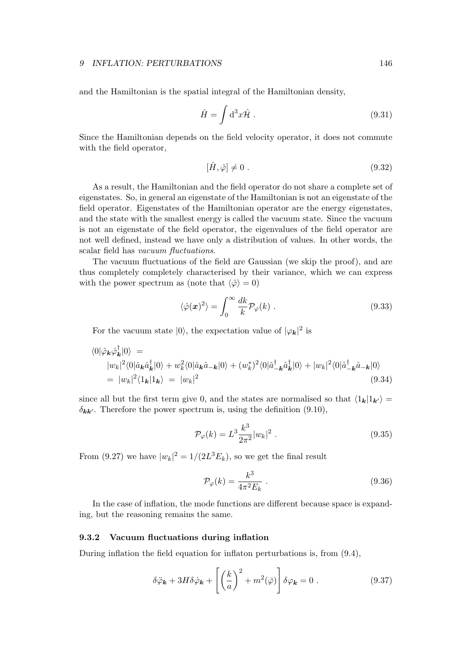and the Hamiltonian is the spatial integral of the Hamiltonian density,

$$
\hat{H} = \int \mathrm{d}^3 x \hat{\mathcal{H}} \,. \tag{9.31}
$$

Since the Hamiltonian depends on the field velocity operator, it does not commute with the field operator,

$$
[\hat{H}, \hat{\varphi}] \neq 0. \tag{9.32}
$$

As a result, the Hamiltonian and the field operator do not share a complete set of eigenstates. So, in general an eigenstate of the Hamiltonian is not an eigenstate of the field operator. Eigenstates of the Hamiltonian operator are the energy eigenstates, and the state with the smallest energy is called the vacuum state. Since the vacuum is not an eigenstate of the field operator, the eigenvalues of the field operator are not well defined, instead we have only a distribution of values. In other words, the scalar field has vacuum fluctuations.

The vacuum fluctuations of the field are Gaussian (we skip the proof), and are thus completely completely characterised by their variance, which we can express with the power spectrum as (note that  $\langle \hat{\varphi} \rangle = 0$ )

$$
\langle \hat{\varphi}(\boldsymbol{x})^2 \rangle = \int_0^\infty \frac{dk}{k} \mathcal{P}_{\varphi}(k) \; . \tag{9.33}
$$

For the vacuum state  $|0\rangle$ , the expectation value of  $|\varphi_{\boldsymbol{k}}|^2$  is

$$
\langle 0|\hat{\varphi}_{\mathbf{k}}\hat{\varphi}_{\mathbf{k}}^{\dagger}|0\rangle =
$$
  
\n
$$
|w_{k}|^{2}\langle 0|\hat{a}_{\mathbf{k}}\hat{a}_{\mathbf{k}}^{\dagger}|0\rangle + w_{k}^{2}\langle 0|\hat{a}_{\mathbf{k}}\hat{a}_{-\mathbf{k}}|0\rangle + (w_{k}^{*})^{2}\langle 0|\hat{a}_{-\mathbf{k}}^{\dagger}\hat{a}_{\mathbf{k}}^{\dagger}|0\rangle + |w_{k}|^{2}\langle 0|\hat{a}_{-\mathbf{k}}^{\dagger}\hat{a}_{-\mathbf{k}}|0\rangle
$$
  
\n
$$
= |w_{k}|^{2}\langle 1_{\mathbf{k}}|1_{\mathbf{k}}\rangle = |w_{k}|^{2}
$$
\n(9.34)

since all but the first term give 0, and the states are normalised so that  $\langle 1_k|1_{k'}\rangle =$  $\delta_{\mathbf{k}\mathbf{k}'}$ . Therefore the power spectrum is, using the definition (9.10),

$$
\mathcal{P}_{\varphi}(k) = L^3 \frac{k^3}{2\pi^2} |w_k|^2.
$$
\n(9.35)

From (9.27) we have  $|w_k|^2 = 1/(2L^3 E_k)$ , so we get the final result

$$
\mathcal{P}_{\varphi}(k) = \frac{k^3}{4\pi^2 E_k} \tag{9.36}
$$

In the case of inflation, the mode functions are different because space is expanding, but the reasoning remains the same.

#### 9.3.2 Vacuum fluctuations during inflation

During inflation the field equation for inflaton perturbations is, from (9.4),

$$
\delta \ddot{\varphi}_{\mathbf{k}} + 3H \delta \dot{\varphi}_{\mathbf{k}} + \left[ \left( \frac{k}{a} \right)^2 + m^2(\bar{\varphi}) \right] \delta \varphi_{\mathbf{k}} = 0 \tag{9.37}
$$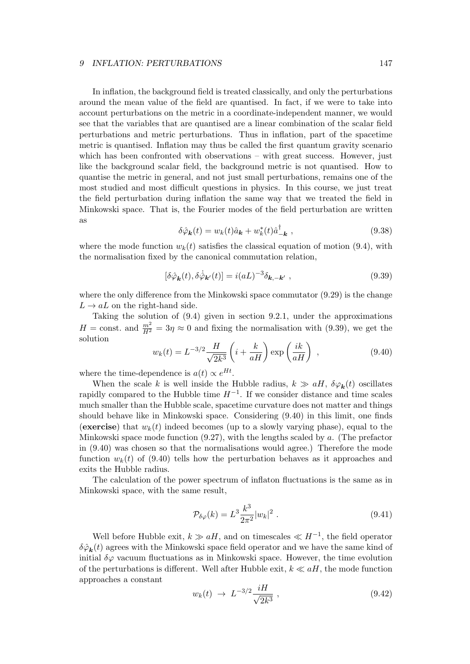In inflation, the background field is treated classically, and only the perturbations around the mean value of the field are quantised. In fact, if we were to take into account perturbations on the metric in a coordinate-independent manner, we would see that the variables that are quantised are a linear combination of the scalar field perturbations and metric perturbations. Thus in inflation, part of the spacetime metric is quantised. Inflation may thus be called the first quantum gravity scenario which has been confronted with observations – with great success. However, just like the background scalar field, the background metric is not quantised. How to quantise the metric in general, and not just small perturbations, remains one of the most studied and most difficult questions in physics. In this course, we just treat the field perturbation during inflation the same way that we treated the field in Minkowski space. That is, the Fourier modes of the field perturbation are written as

$$
\delta \hat{\varphi}_{\mathbf{k}}(t) = w_k(t)\hat{a}_{\mathbf{k}} + w_k^*(t)\hat{a}_{-\mathbf{k}}^\dagger , \qquad (9.38)
$$

where the mode function  $w_k(t)$  satisfies the classical equation of motion (9.4), with the normalisation fixed by the canonical commutation relation,

$$
[\delta \hat{\varphi}_{\mathbf{k}}(t), \delta \dot{\hat{\varphi}}_{\mathbf{k}'}(t)] = i(aL)^{-3} \delta_{\mathbf{k}, -\mathbf{k}'} , \qquad (9.39)
$$

where the only difference from the Minkowski space commutator (9.29) is the change  $L \rightarrow aL$  on the right-hand side.

Taking the solution of (9.4) given in section 9.2.1, under the approximations  $H = \text{const.}$  and  $\frac{m^2}{H^2} = 3\eta \approx 0$  and fixing the normalisation with (9.39), we get the solution

$$
w_k(t) = L^{-3/2} \frac{H}{\sqrt{2k^3}} \left( i + \frac{k}{aH} \right) \exp\left( \frac{ik}{aH} \right) , \qquad (9.40)
$$

where the time-dependence is  $a(t) \propto e^{Ht}$ .

When the scale k is well inside the Hubble radius,  $k \gg aH$ ,  $\delta \varphi_k(t)$  oscillates rapidly compared to the Hubble time  $H^{-1}$ . If we consider distance and time scales much smaller than the Hubble scale, spacetime curvature does not matter and things should behave like in Minkowski space. Considering (9.40) in this limit, one finds (exercise) that  $w_k(t)$  indeed becomes (up to a slowly varying phase), equal to the Minkowski space mode function  $(9.27)$ , with the lengths scaled by a. (The prefactor in (9.40) was chosen so that the normalisations would agree.) Therefore the mode function  $w_k(t)$  of (9.40) tells how the perturbation behaves as it approaches and exits the Hubble radius.

The calculation of the power spectrum of inflaton fluctuations is the same as in Minkowski space, with the same result,

$$
\mathcal{P}_{\delta\varphi}(k) = L^3 \frac{k^3}{2\pi^2} |w_k|^2.
$$
\n(9.41)

Well before Hubble exit,  $k \gg aH$ , and on timescales  $\ll H^{-1}$ , the field operator  $\delta \hat{\varphi}_{\mathbf{k}}(t)$  agrees with the Minkowski space field operator and we have the same kind of initial  $\delta\varphi$  vacuum fluctuations as in Minkowski space. However, the time evolution of the perturbations is different. Well after Hubble exit,  $k \ll aH$ , the mode function approaches a constant

$$
w_k(t) \to L^{-3/2} \frac{iH}{\sqrt{2k^3}} \,, \tag{9.42}
$$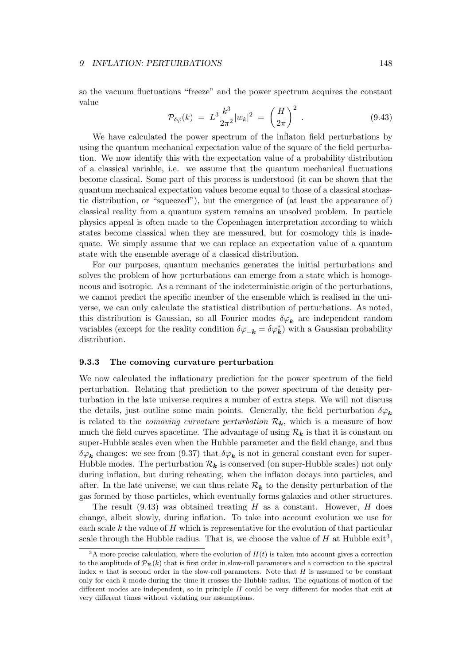so the vacuum fluctuations "freeze" and the power spectrum acquires the constant value

$$
\mathcal{P}_{\delta\varphi}(k) \ = \ L^3 \frac{k^3}{2\pi^2} |w_k|^2 \ = \ \left(\frac{H}{2\pi}\right)^2 \ . \tag{9.43}
$$

We have calculated the power spectrum of the inflaton field perturbations by using the quantum mechanical expectation value of the square of the field perturbation. We now identify this with the expectation value of a probability distribution of a classical variable, i.e. we assume that the quantum mechanical fluctuations become classical. Some part of this process is understood (it can be shown that the quantum mechanical expectation values become equal to those of a classical stochastic distribution, or "squeezed"), but the emergence of (at least the appearance of) classical reality from a quantum system remains an unsolved problem. In particle physics appeal is often made to the Copenhagen interpretation according to which states become classical when they are measured, but for cosmology this is inadequate. We simply assume that we can replace an expectation value of a quantum state with the ensemble average of a classical distribution.

For our purposes, quantum mechanics generates the initial perturbations and solves the problem of how perturbations can emerge from a state which is homogeneous and isotropic. As a remnant of the indeterministic origin of the perturbations, we cannot predict the specific member of the ensemble which is realised in the universe, we can only calculate the statistical distribution of perturbations. As noted, this distribution is Gaussian, so all Fourier modes  $\delta \varphi_k$  are independent random variables (except for the reality condition  $\delta\varphi_{-\mathbf{k}} = \delta\varphi_{\mathbf{k}}^*$ ) with a Gaussian probability distribution.

# 9.3.3 The comoving curvature perturbation

We now calculated the inflationary prediction for the power spectrum of the field perturbation. Relating that prediction to the power spectrum of the density perturbation in the late universe requires a number of extra steps. We will not discuss the details, just outline some main points. Generally, the field perturbation  $\delta \varphi_{\bf k}$ is related to the *comoving curvature perturbation*  $\mathcal{R}_k$ , which is a measure of how much the field curves spacetime. The advantage of using  $\mathcal{R}_{k}$  is that it is constant on super-Hubble scales even when the Hubble parameter and the field change, and thus  $\delta\varphi_{\bm{k}}$  changes: we see from (9.37) that  $\delta\varphi_{\bm{k}}$  is not in general constant even for super-Hubble modes. The perturbation  $\mathcal{R}_k$  is conserved (on super-Hubble scales) not only during inflation, but during reheating, when the inflaton decays into particles, and after. In the late universe, we can thus relate  $\mathcal{R}_k$  to the density perturbation of the gas formed by those particles, which eventually forms galaxies and other structures.

The result  $(9.43)$  was obtained treating H as a constant. However, H does change, albeit slowly, during inflation. To take into account evolution we use for each scale k the value of  $H$  which is representative for the evolution of that particular scale through the Hubble radius. That is, we choose the value of  $H$  at Hubble exit<sup>3</sup>,

 $3A$  more precise calculation, where the evolution of  $H(t)$  is taken into account gives a correction to the amplitude of  $\mathcal{P}_{\mathcal{R}}(k)$  that is first order in slow-roll parameters and a correction to the spectral index  $n$  that is second order in the slow-roll parameters. Note that  $H$  is assumed to be constant only for each  $k$  mode during the time it crosses the Hubble radius. The equations of motion of the different modes are independent, so in principle  $H$  could be very different for modes that exit at very different times without violating our assumptions.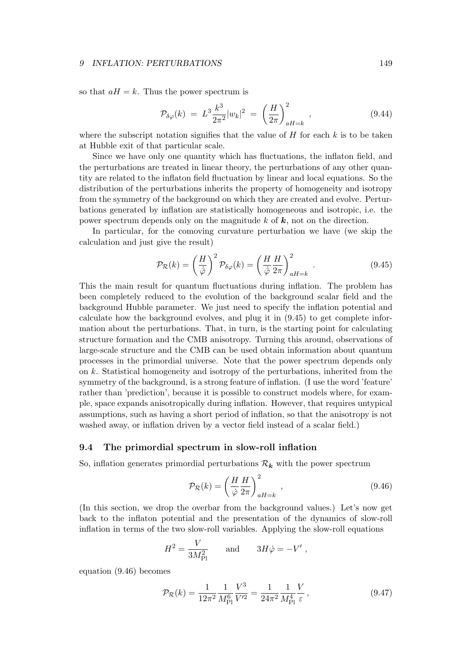so that  $aH = k$ . Thus the power spectrum is

$$
\mathcal{P}_{\delta\varphi}(k) \ = \ L^3 \frac{k^3}{2\pi^2} |w_k|^2 \ = \ \left(\frac{H}{2\pi}\right)^2_{aH=k} \ , \tag{9.44}
$$

where the subscript notation signifies that the value of  $H$  for each  $k$  is to be taken at Hubble exit of that particular scale.

Since we have only one quantity which has fluctuations, the inflaton field, and the perturbations are treated in linear theory, the perturbations of any other quantity are related to the inflaton field fluctuation by linear and local equations. So the distribution of the perturbations inherits the property of homogeneity and isotropy from the symmetry of the background on which they are created and evolve. Perturbations generated by inflation are statistically homogeneous and isotropic, i.e. the power spectrum depends only on the magnitude k of  $k$ , not on the direction.

In particular, for the comoving curvature perturbation we have (we skip the calculation and just give the result)

$$
\mathcal{P}_{\mathcal{R}}(k) = \left(\frac{H}{\dot{\bar{\varphi}}}\right)^2 \mathcal{P}_{\delta\varphi}(k) = \left(\frac{H}{\dot{\bar{\varphi}}}\frac{H}{2\pi}\right)_{aH=k}^2.
$$
\n(9.45)

This the main result for quantum fluctuations during inflation. The problem has been completely reduced to the evolution of the background scalar field and the background Hubble parameter. We just need to specify the inflation potential and calculate how the background evolves, and plug it in (9.45) to get complete information about the perturbations. That, in turn, is the starting point for calculating structure formation and the CMB anisotropy. Turning this around, observations of large-scale structure and the CMB can be used obtain information about quantum processes in the primordial universe. Note that the power spectrum depends only on k. Statistical homogeneity and isotropy of the perturbations, inherited from the symmetry of the background, is a strong feature of inflation. (I use the word 'feature' rather than 'prediction', because it is possible to construct models where, for example, space expands anisotropically during inflation. However, that requires untypical assumptions, such as having a short period of inflation, so that the anisotropy is not washed away, or inflation driven by a vector field instead of a scalar field.)

## 9.4 The primordial spectrum in slow-roll inflation

So, inflation generates primordial perturbations  $\mathcal{R}_k$  with the power spectrum

$$
\mathcal{P}_{\mathcal{R}}(k) = \left(\frac{H}{\dot{\varphi}} \frac{H}{2\pi}\right)_{aH=k}^2, \qquad (9.46)
$$

(In this section, we drop the overbar from the background values.) Let's now get back to the inflaton potential and the presentation of the dynamics of slow-roll inflation in terms of the two slow-roll variables. Applying the slow-roll equations

$$
H^2 = \frac{V}{3M_{\rm Pl}^2} \qquad \text{and} \qquad 3H\dot{\varphi} = -V' \ ,
$$

equation (9.46) becomes

$$
\mathcal{P}_{\mathcal{R}}(k) = \frac{1}{12\pi^2} \frac{1}{M_{\rm Pl}^6} \frac{V^3}{V'^2} = \frac{1}{24\pi^2} \frac{1}{M_{\rm Pl}^4} \frac{V}{\varepsilon},\tag{9.47}
$$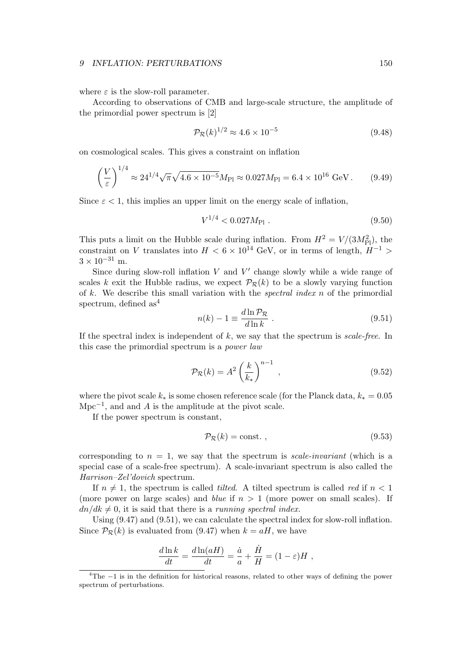where  $\varepsilon$  is the slow-roll parameter.

According to observations of CMB and large-scale structure, the amplitude of the primordial power spectrum is [2]

$$
\mathcal{P}_{\mathcal{R}}(k)^{1/2} \approx 4.6 \times 10^{-5} \tag{9.48}
$$

on cosmological scales. This gives a constraint on inflation

$$
\left(\frac{V}{\varepsilon}\right)^{1/4} \approx 24^{1/4} \sqrt{\pi} \sqrt{4.6 \times 10^{-5}} M_{\text{Pl}} \approx 0.027 M_{\text{Pl}} = 6.4 \times 10^{16} \text{ GeV}.
$$
 (9.49)

Since  $\varepsilon$  < 1, this implies an upper limit on the energy scale of inflation,

$$
V^{1/4} < 0.027 M_{\text{Pl}} \tag{9.50}
$$

This puts a limit on the Hubble scale during inflation. From  $H^2 = V/(3M_{\rm Pl}^2)$ , the constraint on V translates into  $H < 6 \times 10^{14}$  GeV, or in terms of length,  $H^{-1}$  $3 \times 10^{-31}$  m.

Since during slow-roll inflation  $V$  and  $V'$  change slowly while a wide range of scales k exit the Hubble radius, we expect  $\mathcal{P}_{\mathcal{R}}(k)$  to be a slowly varying function of k. We describe this small variation with the *spectral index n* of the primordial spectrum, defined  $as<sup>4</sup>$ 

$$
n(k) - 1 \equiv \frac{d \ln \mathcal{P}_{\mathcal{R}}}{d \ln k} \tag{9.51}
$$

If the spectral index is independent of  $k$ , we say that the spectrum is scale-free. In this case the primordial spectrum is a power law

$$
\mathcal{P}_{\mathcal{R}}(k) = A^2 \left(\frac{k}{k_*}\right)^{n-1},\qquad(9.52)
$$

where the pivot scale  $k_*$  is some chosen reference scale (for the Planck data,  $k_* = 0.05$  $Mpc^{-1}$ , and and A is the amplitude at the pivot scale.

If the power spectrum is constant,

$$
\mathcal{P}_{\mathcal{R}}(k) = \text{const.} \tag{9.53}
$$

corresponding to  $n = 1$ , we say that the spectrum is scale-invariant (which is a special case of a scale-free spectrum). A scale-invariant spectrum is also called the Harrison–Zel'dovich spectrum.

If  $n \neq 1$ , the spectrum is called *tilted.* A tilted spectrum is called *red* if  $n < 1$ (more power on large scales) and *blue* if  $n > 1$  (more power on small scales). If  $dn/dk \neq 0$ , it is said that there is a running spectral index.

Using (9.47) and (9.51), we can calculate the spectral index for slow-roll inflation. Since  $\mathcal{P}_{\mathcal{R}}(k)$  is evaluated from (9.47) when  $k = aH$ , we have

$$
\frac{d\ln k}{dt} = \frac{d\ln(aH)}{dt} = \frac{\dot{a}}{a} + \frac{\dot{H}}{H} = (1 - \varepsilon)H,
$$

 $4$ The  $-1$  is in the definition for historical reasons, related to other ways of defining the power spectrum of perturbations.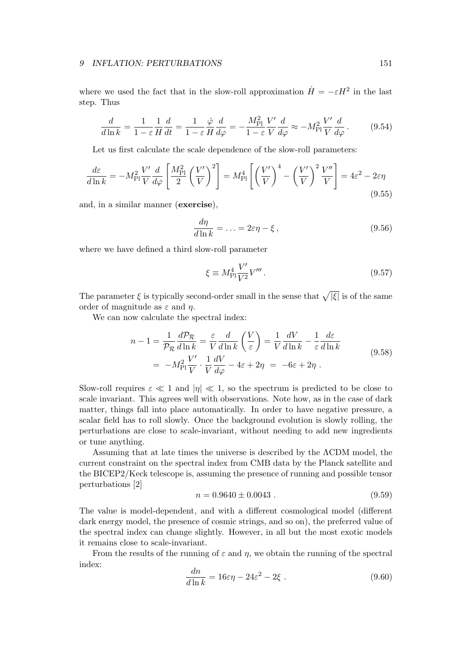where we used the fact that in the slow-roll approximation  $\dot{H} = -\varepsilon H^2$  in the last step. Thus

$$
\frac{d}{d\ln k} = \frac{1}{1-\varepsilon} \frac{1}{H} \frac{d}{dt} = \frac{1}{1-\varepsilon} \frac{\dot{\varphi}}{H} \frac{d}{d\varphi} = -\frac{M_{\rm Pl}^2}{1-\varepsilon} \frac{V'}{V} \frac{d}{d\varphi} \approx -M_{\rm Pl}^2 \frac{V'}{V} \frac{d}{d\varphi}.
$$
 (9.54)

Let us first calculate the scale dependence of the slow-roll parameters:

$$
\frac{d\varepsilon}{d\ln k} = -M_{\rm Pl}^2 \frac{V'}{V} \frac{d}{d\varphi} \left[ \frac{M_{\rm Pl}^2}{2} \left( \frac{V'}{V} \right)^2 \right] = M_{\rm Pl}^4 \left[ \left( \frac{V'}{V} \right)^4 - \left( \frac{V'}{V} \right)^2 \frac{V''}{V} \right] = 4\varepsilon^2 - 2\varepsilon\eta \tag{9.55}
$$

and, in a similar manner (exercise),

$$
\frac{d\eta}{d\ln k} = \dots = 2\varepsilon\eta - \xi, \qquad (9.56)
$$

where we have defined a third slow-roll parameter

$$
\xi \equiv M_{\rm Pl}^4 \frac{V'}{V^2} V''' \,. \tag{9.57}
$$

The parameter  $\xi$  is typically second-order small in the sense that  $\sqrt{|\xi|}$  is of the same order of magnitude as  $\varepsilon$  and  $\eta$ .

We can now calculate the spectral index:

$$
n - 1 = \frac{1}{\mathcal{P}_{\mathcal{R}}} \frac{d\mathcal{P}_{\mathcal{R}}}{d\ln k} = \frac{\varepsilon}{V} \frac{d}{d\ln k} \left(\frac{V}{\varepsilon}\right) = \frac{1}{V} \frac{dV}{d\ln k} - \frac{1}{\varepsilon} \frac{d\varepsilon}{d\ln k}
$$
  
= 
$$
-M_{\text{Pl}}^2 \frac{V'}{V} \cdot \frac{1}{V} \frac{dV}{d\varphi} - 4\varepsilon + 2\eta = -6\varepsilon + 2\eta.
$$
 (9.58)

Slow-roll requires  $\varepsilon \ll 1$  and  $|\eta| \ll 1$ , so the spectrum is predicted to be close to scale invariant. This agrees well with observations. Note how, as in the case of dark matter, things fall into place automatically. In order to have negative pressure, a scalar field has to roll slowly. Once the background evolution is slowly rolling, the perturbations are close to scale-invariant, without needing to add new ingredients or tune anything.

Assuming that at late times the universe is described by the ΛCDM model, the current constraint on the spectral index from CMB data by the Planck satellite and the BICEP2/Keck telescope is, assuming the presence of running and possible tensor perturbations [2]

$$
n = 0.9640 \pm 0.0043 . \tag{9.59}
$$

The value is model-dependent, and with a different cosmological model (different dark energy model, the presence of cosmic strings, and so on), the preferred value of the spectral index can change slightly. However, in all but the most exotic models it remains close to scale-invariant.

From the results of the running of  $\varepsilon$  and  $\eta$ , we obtain the running of the spectral index:

$$
\frac{dn}{d\ln k} = 16\varepsilon\eta - 24\varepsilon^2 - 2\xi \ . \tag{9.60}
$$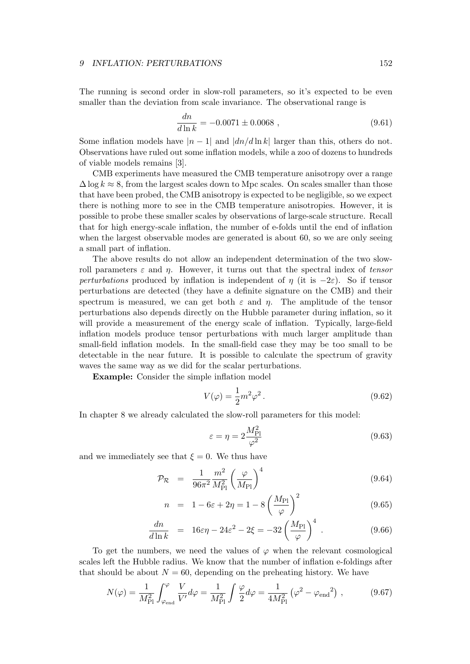The running is second order in slow-roll parameters, so it's expected to be even smaller than the deviation from scale invariance. The observational range is

$$
\frac{dn}{d\ln k} = -0.0071 \pm 0.0068 ,\qquad (9.61)
$$

Some inflation models have  $|n-1|$  and  $|dn/d \ln k|$  larger than this, others do not. Observations have ruled out some inflation models, while a zoo of dozens to hundreds of viable models remains [3].

CMB experiments have measured the CMB temperature anisotropy over a range  $\Delta \log k \approx 8$ , from the largest scales down to Mpc scales. On scales smaller than those that have been probed, the CMB anisotropy is expected to be negligible, so we expect there is nothing more to see in the CMB temperature anisotropies. However, it is possible to probe these smaller scales by observations of large-scale structure. Recall that for high energy-scale inflation, the number of e-folds until the end of inflation when the largest observable modes are generated is about 60, so we are only seeing a small part of inflation.

The above results do not allow an independent determination of the two slowroll parameters  $\varepsilon$  and  $\eta$ . However, it turns out that the spectral index of tensor perturbations produced by inflation is independent of  $\eta$  (it is  $-2\varepsilon$ ). So if tensor perturbations are detected (they have a definite signature on the CMB) and their spectrum is measured, we can get both  $\varepsilon$  and  $\eta$ . The amplitude of the tensor perturbations also depends directly on the Hubble parameter during inflation, so it will provide a measurement of the energy scale of inflation. Typically, large-field inflation models produce tensor perturbations with much larger amplitude than small-field inflation models. In the small-field case they may be too small to be detectable in the near future. It is possible to calculate the spectrum of gravity waves the same way as we did for the scalar perturbations.

Example: Consider the simple inflation model

$$
V(\varphi) = \frac{1}{2}m^2\varphi^2.
$$
\n(9.62)

In chapter 8 we already calculated the slow-roll parameters for this model:

$$
\varepsilon = \eta = 2 \frac{M_{\rm Pl}^2}{\varphi^2} \tag{9.63}
$$

and we immediately see that  $\xi = 0$ . We thus have

$$
\mathcal{P}_{\mathcal{R}} = \frac{1}{96\pi^2} \frac{m^2}{M_{\text{Pl}}^2} \left(\frac{\varphi}{M_{\text{Pl}}}\right)^4 \tag{9.64}
$$

$$
n = 1 - 6\varepsilon + 2\eta = 1 - 8\left(\frac{M_{\rm Pl}}{\varphi}\right)^2 \tag{9.65}
$$

$$
\frac{dn}{d\ln k} = 16\varepsilon\eta - 24\varepsilon^2 - 2\xi = -32\left(\frac{M_{\rm Pl}}{\varphi}\right)^4. \tag{9.66}
$$

To get the numbers, we need the values of  $\varphi$  when the relevant cosmological scales left the Hubble radius. We know that the number of inflation e-foldings after that should be about  $N = 60$ , depending on the preheating history. We have

$$
N(\varphi) = \frac{1}{M_{\rm Pl}^2} \int_{\varphi_{\rm end}}^{\varphi} \frac{V}{V'} d\varphi = \frac{1}{M_{\rm Pl}^2} \int \frac{\varphi}{2} d\varphi = \frac{1}{4M_{\rm Pl}^2} \left( \varphi^2 - \varphi_{\rm end}^2 \right) , \qquad (9.67)
$$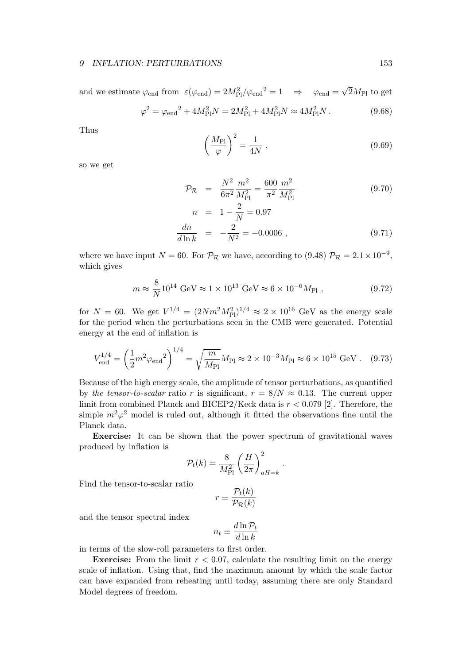and we estimate  $\varphi_{end}$  from  $\varepsilon(\varphi_{end}) = 2M_{\rm Pl}^2/\varphi_{end}^2 = 1 \Rightarrow \varphi_{end} = \sqrt{\varphi_{end}}$  $2M_{\rm Pl}$  to get

$$
\varphi^2 = \varphi_{\rm end}^2 + 4M_{\rm Pl}^2 N = 2M_{\rm Pl}^2 + 4M_{\rm Pl}^2 N \approx 4M_{\rm Pl}^2 N. \tag{9.68}
$$

Thus

$$
\left(\frac{M_{\rm Pl}}{\varphi}\right)^2 = \frac{1}{4N} \,,\tag{9.69}
$$

so we get

$$
\mathcal{P}_{\mathcal{R}} = \frac{N^2}{6\pi^2} \frac{m^2}{M_{\rm Pl}^2} = \frac{600}{\pi^2} \frac{m^2}{M_{\rm Pl}^2} \tag{9.70}
$$

$$
n = 1 - \frac{2}{N} = 0.97
$$
  

$$
\frac{dn}{d \ln k} = -\frac{2}{N^2} = -0.0006 ,
$$
 (9.71)

.

where we have input  $N = 60$ . For  $\mathcal{P}_{\mathcal{R}}$  we have, according to (9.48)  $\mathcal{P}_{\mathcal{R}} = 2.1 \times 10^{-9}$ , which gives

$$
m \approx \frac{8}{N} 10^{14} \text{ GeV} \approx 1 \times 10^{13} \text{ GeV} \approx 6 \times 10^{-6} M_{\text{Pl}} , \qquad (9.72)
$$

for  $N = 60$ . We get  $V^{1/4} = (2Nm^2M_{\rm Pl}^2)^{1/4} \approx 2 \times 10^{16}$  GeV as the energy scale for the period when the perturbations seen in the CMB were generated. Potential energy at the end of inflation is

$$
V_{\text{end}}^{1/4} = \left(\frac{1}{2}m^2 \varphi_{\text{end}}^2\right)^{1/4} = \sqrt{\frac{m}{M_{\text{Pl}}}} M_{\text{Pl}} \approx 2 \times 10^{-3} M_{\text{Pl}} \approx 6 \times 10^{15} \text{ GeV} \ . \tag{9.73}
$$

Because of the high energy scale, the amplitude of tensor perturbations, as quantified by the tensor-to-scalar ratio r is significant,  $r = 8/N \approx 0.13$ . The current upper limit from combined Planck and BICEP2/Keck data is  $r < 0.079$  [2]. Therefore, the simple  $m^2\varphi^2$  model is ruled out, although it fitted the observations fine until the Planck data.

Exercise: It can be shown that the power spectrum of gravitational waves produced by inflation is

$$
\mathcal{P}_t(k) = \frac{8}{M_{\rm Pl}^2} \left(\frac{H}{2\pi}\right)_{aH=k}^2
$$

Find the tensor-to-scalar ratio

$$
r \equiv \frac{\mathcal{P}_t(k)}{\mathcal{P}_\mathcal{R}(k)}
$$

and the tensor spectral index

$$
n_t \equiv \frac{d \ln \mathcal{P}_t}{d \ln k}
$$

in terms of the slow-roll parameters to first order.

**Exercise:** From the limit  $r < 0.07$ , calculate the resulting limit on the energy scale of inflation. Using that, find the maximum amount by which the scale factor can have expanded from reheating until today, assuming there are only Standard Model degrees of freedom.